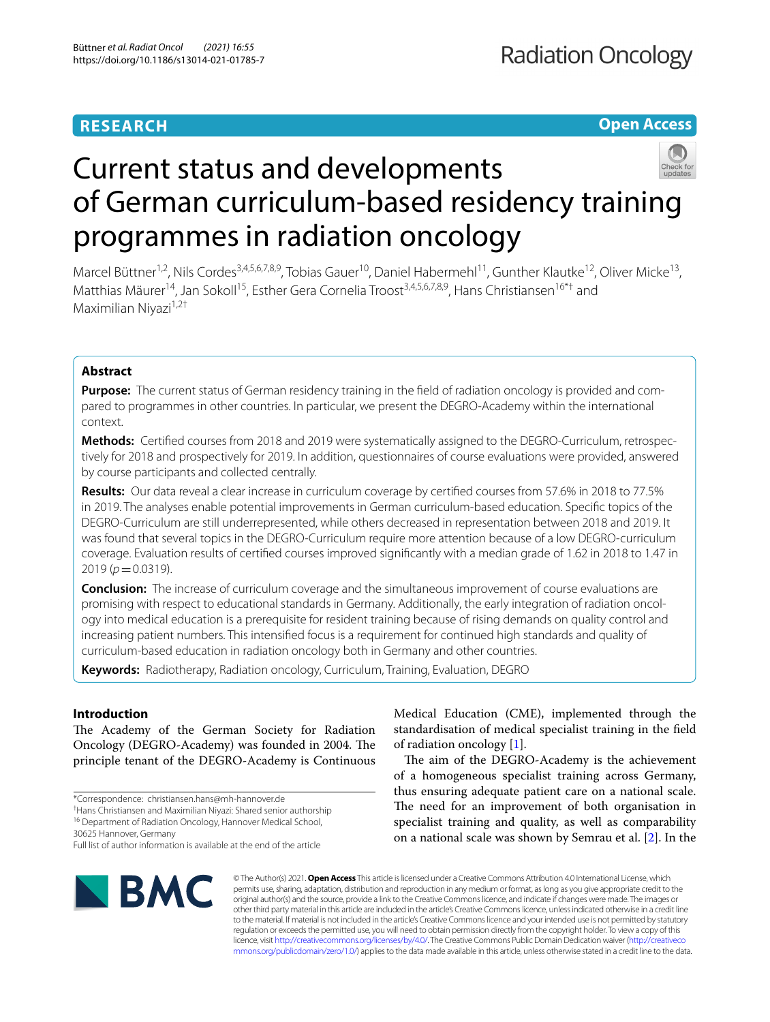# **RESEARCH**

# **Open Access**



# Current status and developments of German curriculum-based residency training programmes in radiation oncology

Marcel Büttner<sup>1,2</sup>, Nils Cordes<sup>3,4,5,6,7,8,9</sup>, Tobias Gauer<sup>10</sup>, Daniel Habermehl<sup>11</sup>, Gunther Klautke<sup>12</sup>, Oliver Micke<sup>13</sup>, Matthias Mäurer<sup>14</sup>, Jan Sokoll<sup>15</sup>, Esther Gera Cornelia Troost<sup>3,4,5,6,7,8,9</sup>, Hans Christiansen<sup>16\*†</sup> and Maximilian Niyazi $1,2^+$ 

# **Abstract**

**Purpose:** The current status of German residency training in the feld of radiation oncology is provided and compared to programmes in other countries. In particular, we present the DEGRO-Academy within the international context.

**Methods:** Certifed courses from 2018 and 2019 were systematically assigned to the DEGRO-Curriculum, retrospectively for 2018 and prospectively for 2019. In addition, questionnaires of course evaluations were provided, answered by course participants and collected centrally.

**Results:** Our data reveal a clear increase in curriculum coverage by certifed courses from 57.6% in 2018 to 77.5% in 2019. The analyses enable potential improvements in German curriculum-based education. Specifc topics of the DEGRO-Curriculum are still underrepresented, while others decreased in representation between 2018 and 2019. It was found that several topics in the DEGRO-Curriculum require more attention because of a low DEGRO-curriculum coverage. Evaluation results of certifed courses improved signifcantly with a median grade of 1.62 in 2018 to 1.47 in 2019 (*p*=0.0319).

**Conclusion:** The increase of curriculum coverage and the simultaneous improvement of course evaluations are promising with respect to educational standards in Germany. Additionally, the early integration of radiation oncology into medical education is a prerequisite for resident training because of rising demands on quality control and increasing patient numbers. This intensifed focus is a requirement for continued high standards and quality of curriculum-based education in radiation oncology both in Germany and other countries.

**Keywords:** Radiotherapy, Radiation oncology, Curriculum, Training, Evaluation, DEGRO

# **Introduction**

The Academy of the German Society for Radiation Oncology (DEGRO-Academy) was founded in 2004. The principle tenant of the DEGRO-Academy is Continuous

† Hans Christiansen and Maximilian Niyazi: Shared senior authorship

16 Department of Radiation Oncology, Hannover Medical School,

30625 Hannover, Germany

Full list of author information is available at the end of the article



Medical Education (CME), implemented through the standardisation of medical specialist training in the feld of radiation oncology [\[1](#page-5-0)].

The aim of the DEGRO-Academy is the achievement of a homogeneous specialist training across Germany, thus ensuring adequate patient care on a national scale. The need for an improvement of both organisation in specialist training and quality, as well as comparability on a national scale was shown by Semrau et al. [\[2](#page-5-1)]. In the

© The Author(s) 2021. **Open Access** This article is licensed under a Creative Commons Attribution 4.0 International License, which permits use, sharing, adaptation, distribution and reproduction in any medium or format, as long as you give appropriate credit to the original author(s) and the source, provide a link to the Creative Commons licence, and indicate if changes were made. The images or other third party material in this article are included in the article's Creative Commons licence, unless indicated otherwise in a credit line to the material. If material is not included in the article's Creative Commons licence and your intended use is not permitted by statutory regulation or exceeds the permitted use, you will need to obtain permission directly from the copyright holder. To view a copy of this licence, visit [http://creativecommons.org/licenses/by/4.0/.](http://creativecommons.org/licenses/by/4.0/) The Creative Commons Public Domain Dedication waiver ([http://creativeco](http://creativecommons.org/publicdomain/zero/1.0/) [mmons.org/publicdomain/zero/1.0/](http://creativecommons.org/publicdomain/zero/1.0/)) applies to the data made available in this article, unless otherwise stated in a credit line to the data.

<sup>\*</sup>Correspondence: christiansen.hans@mh-hannover.de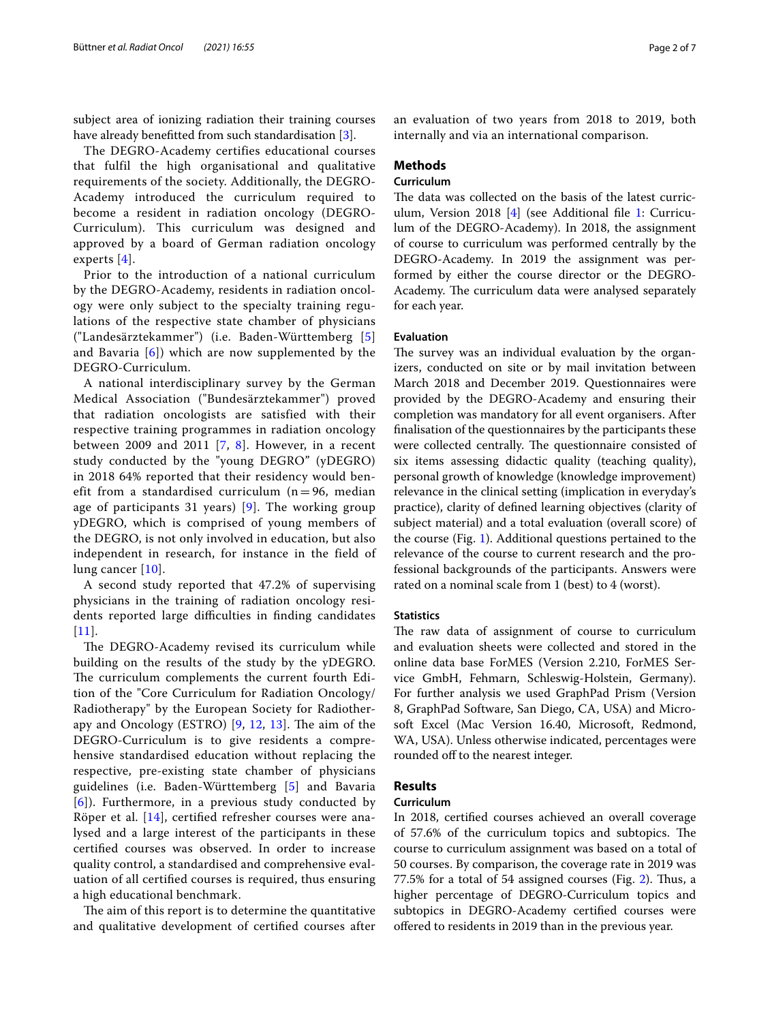subject area of ionizing radiation their training courses have already benefitted from such standardisation [\[3](#page-5-2)].

The DEGRO-Academy certifies educational courses that fulfil the high organisational and qualitative requirements of the society. Additionally, the DEGRO-Academy introduced the curriculum required to become a resident in radiation oncology (DEGRO-Curriculum). This curriculum was designed and approved by a board of German radiation oncology experts [[4](#page-5-3)].

Prior to the introduction of a national curriculum by the DEGRO-Academy, residents in radiation oncology were only subject to the specialty training regulations of the respective state chamber of physicians ("Landesärztekammer") (i.e. Baden-Württemberg [\[5](#page-6-0)] and Bavaria [\[6](#page-6-1)]) which are now supplemented by the DEGRO-Curriculum.

A national interdisciplinary survey by the German Medical Association ("Bundesärztekammer") proved that radiation oncologists are satisfied with their respective training programmes in radiation oncology between 2009 and 2011  $[7, 8]$  $[7, 8]$  $[7, 8]$  $[7, 8]$ . However, in a recent study conducted by the "young DEGRO" (yDEGRO) in 2018 64% reported that their residency would benefit from a standardised curriculum ( $n = 96$ , median age of participants 31 years) [\[9\]](#page-6-4). The working group yDEGRO, which is comprised of young members of the DEGRO, is not only involved in education, but also independent in research, for instance in the field of lung cancer [[10](#page-6-5)].

A second study reported that 47.2% of supervising physicians in the training of radiation oncology residents reported large difficulties in finding candidates  $[11]$  $[11]$  $[11]$ .

The DEGRO-Academy revised its curriculum while building on the results of the study by the yDEGRO. The curriculum complements the current fourth Edition of the "Core Curriculum for Radiation Oncology/ Radiotherapy" by the European Society for Radiotherapy and Oncology (ESTRO)  $[9, 12, 13]$  $[9, 12, 13]$  $[9, 12, 13]$  $[9, 12, 13]$  $[9, 12, 13]$ . The aim of the DEGRO-Curriculum is to give residents a comprehensive standardised education without replacing the respective, pre-existing state chamber of physicians guidelines (i.e. Baden-Württemberg [\[5](#page-6-0)] and Bavaria [[6](#page-6-1)]). Furthermore, in a previous study conducted by Röper et al. [[14\]](#page-6-9), certifed refresher courses were analysed and a large interest of the participants in these certifed courses was observed. In order to increase quality control, a standardised and comprehensive evaluation of all certifed courses is required, thus ensuring a high educational benchmark.

The aim of this report is to determine the quantitative and qualitative development of certifed courses after an evaluation of two years from 2018 to 2019, both internally and via an international comparison.

## **Methods**

## **Curriculum**

The data was collected on the basis of the latest curriculum, Version 2018 [[4\]](#page-5-3) (see Additional fle [1:](#page-5-4) Curriculum of the DEGRO-Academy). In 2018, the assignment of course to curriculum was performed centrally by the DEGRO-Academy. In 2019 the assignment was performed by either the course director or the DEGRO-Academy. The curriculum data were analysed separately for each year.

## **Evaluation**

The survey was an individual evaluation by the organizers, conducted on site or by mail invitation between March 2018 and December 2019. Questionnaires were provided by the DEGRO-Academy and ensuring their completion was mandatory for all event organisers. After fnalisation of the questionnaires by the participants these were collected centrally. The questionnaire consisted of six items assessing didactic quality (teaching quality), personal growth of knowledge (knowledge improvement) relevance in the clinical setting (implication in everyday's practice), clarity of defned learning objectives (clarity of subject material) and a total evaluation (overall score) of the course (Fig. [1\)](#page-2-0). Additional questions pertained to the relevance of the course to current research and the professional backgrounds of the participants. Answers were rated on a nominal scale from 1 (best) to 4 (worst).

## **Statistics**

The raw data of assignment of course to curriculum and evaluation sheets were collected and stored in the online data base ForMES (Version 2.210, ForMES Service GmbH, Fehmarn, Schleswig-Holstein, Germany). For further analysis we used GraphPad Prism (Version 8, GraphPad Software, San Diego, CA, USA) and Microsoft Excel (Mac Version 16.40, Microsoft, Redmond, WA, USA). Unless otherwise indicated, percentages were rounded off to the nearest integer.

## **Results**

## **Curriculum**

In 2018, certifed courses achieved an overall coverage of 57.6% of the curriculum topics and subtopics. The course to curriculum assignment was based on a total of 50 courses. By comparison, the coverage rate in 2019 was 77.5% for a total of 54 assigned courses (Fig. [2\)](#page-3-0). Thus, a higher percentage of DEGRO-Curriculum topics and subtopics in DEGRO-Academy certifed courses were ofered to residents in 2019 than in the previous year.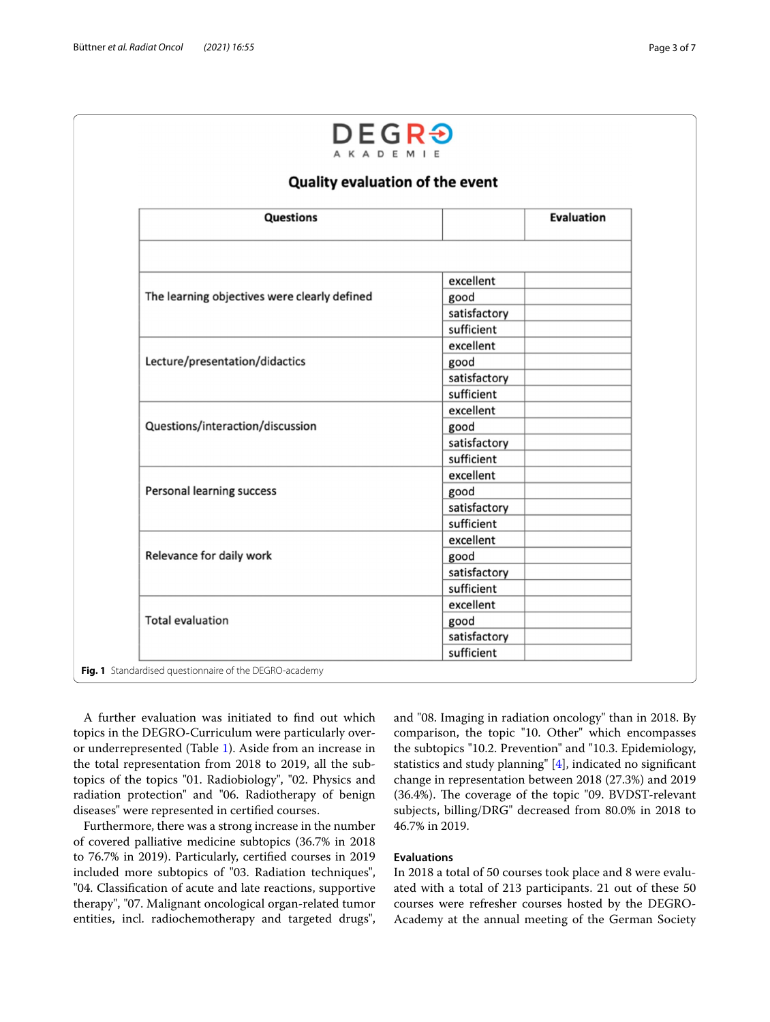|                                              | Quality evaluation of the event |                   |
|----------------------------------------------|---------------------------------|-------------------|
| <b>Questions</b>                             |                                 | <b>Evaluation</b> |
|                                              |                                 |                   |
| The learning objectives were clearly defined | excellent                       |                   |
|                                              | good                            |                   |
|                                              | satisfactory                    |                   |
|                                              | sufficient                      |                   |
| Lecture/presentation/didactics               | excellent                       |                   |
|                                              | good                            |                   |
|                                              | satisfactory                    |                   |
|                                              | sufficient                      |                   |
| Questions/interaction/discussion             | excellent                       |                   |
|                                              | good                            |                   |
|                                              | satisfactory                    |                   |
|                                              | sufficient                      |                   |
| Personal learning success                    | excellent                       |                   |
|                                              | good                            |                   |
|                                              | satisfactory                    |                   |
|                                              | sufficient                      |                   |
| Relevance for daily work                     | excellent                       |                   |
|                                              | good                            |                   |
|                                              | satisfactory                    |                   |
|                                              | sufficient                      |                   |
| <b>Total evaluation</b>                      | excellent                       |                   |
|                                              | good                            |                   |
|                                              | satisfactory<br>sufficient      |                   |

<span id="page-2-0"></span>A further evaluation was initiated to fnd out which topics in the DEGRO-Curriculum were particularly overor underrepresented (Table [1\)](#page-3-1). Aside from an increase in the total representation from 2018 to 2019, all the subtopics of the topics "01. Radiobiology", "02. Physics and radiation protection" and "06. Radiotherapy of benign diseases" were represented in certifed courses.

Furthermore, there was a strong increase in the number of covered palliative medicine subtopics (36.7% in 2018 to 76.7% in 2019). Particularly, certifed courses in 2019 included more subtopics of "03. Radiation techniques", "04. Classifcation of acute and late reactions, supportive therapy", "07. Malignant oncological organ-related tumor entities, incl. radiochemotherapy and targeted drugs", and "08. Imaging in radiation oncology" than in 2018. By comparison, the topic "10. Other" which encompasses the subtopics "10.2. Prevention" and "10.3. Epidemiology, statistics and study planning" [[4\]](#page-5-3), indicated no signifcant change in representation between 2018 (27.3%) and 2019 (36.4%). The coverage of the topic "09. BVDST-relevant subjects, billing/DRG" decreased from 80.0% in 2018 to 46.7% in 2019.

## **Evaluations**

In 2018 a total of 50 courses took place and 8 were evaluated with a total of 213 participants. 21 out of these 50 courses were refresher courses hosted by the DEGRO-Academy at the annual meeting of the German Society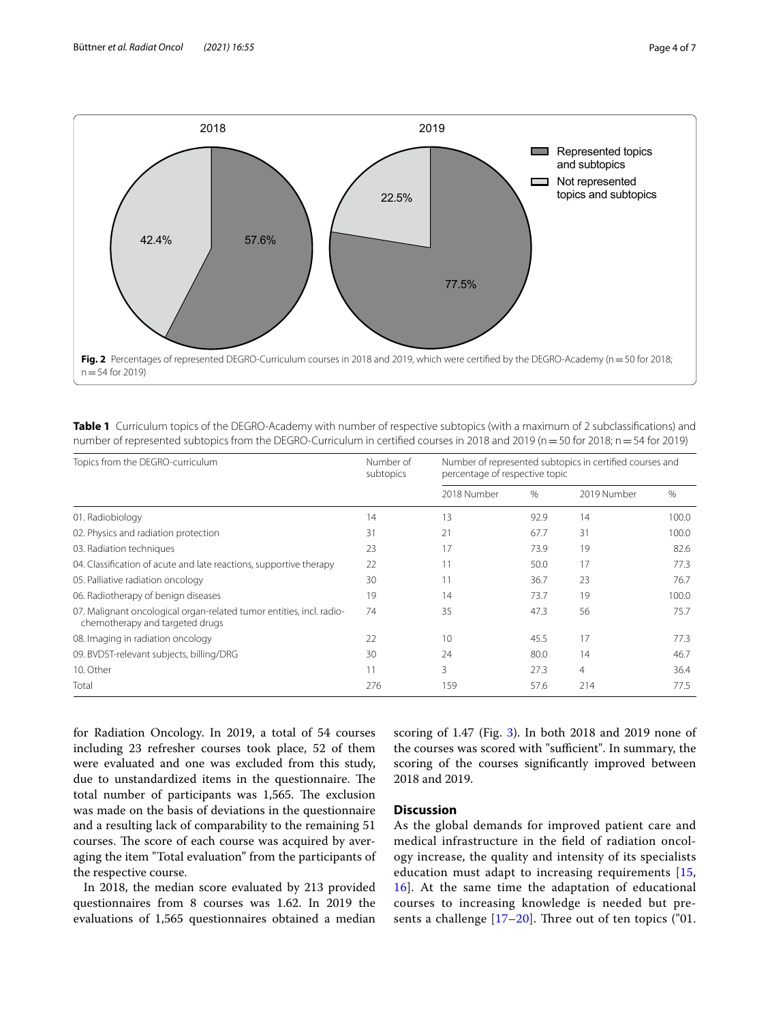

<span id="page-3-1"></span><span id="page-3-0"></span>**Table 1** Curriculum topics of the DEGRO-Academy with number of respective subtopics (with a maximum of 2 subclassifications) and number of represented subtopics from the DEGRO-Curriculum in certified courses in 2018 and 2019 (n = 50 for 2018; n = 54 for 2019)

| Topics from the DEGRO-curriculum                                                                        | Number of<br>subtopics | Number of represented subtopics in certified courses and<br>percentage of respective topic |      |                |       |
|---------------------------------------------------------------------------------------------------------|------------------------|--------------------------------------------------------------------------------------------|------|----------------|-------|
|                                                                                                         |                        | 2018 Number                                                                                | $\%$ | 2019 Number    | %     |
| 01. Radiobiology                                                                                        | 14                     | 13                                                                                         | 92.9 | 14             | 100.0 |
| 02. Physics and radiation protection                                                                    | 31                     | 21                                                                                         | 67.7 | 31             | 100.0 |
| 03. Radiation techniques                                                                                | 23                     | 17                                                                                         | 73.9 | 19             | 82.6  |
| 04. Classification of acute and late reactions, supportive therapy                                      | 22                     | 11                                                                                         | 50.0 | 17             | 77.3  |
| 05. Palliative radiation oncology                                                                       | 30                     | 11                                                                                         | 36.7 | 23             | 76.7  |
| 06. Radiotherapy of benign diseases                                                                     | 19                     | 14                                                                                         | 73.7 | 19             | 100.0 |
| 07. Malignant oncological organ-related tumor entities, incl. radio-<br>chemotherapy and targeted drugs | 74                     | 35                                                                                         | 47.3 | 56             | 75.7  |
| 08. Imaging in radiation oncology                                                                       | 22                     | 10                                                                                         | 45.5 | 17             | 77.3  |
| 09. BVDST-relevant subjects, billing/DRG                                                                | 30                     | 24                                                                                         | 80.0 | 14             | 46.7  |
| 10. Other                                                                                               | 11                     | 3                                                                                          | 27.3 | $\overline{4}$ | 36.4  |
| Total                                                                                                   | 276                    | 159                                                                                        | 57.6 | 214            | 77.5  |

for Radiation Oncology. In 2019, a total of 54 courses including 23 refresher courses took place, 52 of them were evaluated and one was excluded from this study, due to unstandardized items in the questionnaire. The total number of participants was 1,565. The exclusion was made on the basis of deviations in the questionnaire and a resulting lack of comparability to the remaining 51 courses. The score of each course was acquired by averaging the item "Total evaluation" from the participants of the respective course.

In 2018, the median score evaluated by 213 provided questionnaires from 8 courses was 1.62. In 2019 the evaluations of 1,565 questionnaires obtained a median scoring of 1.47 (Fig. [3](#page-4-0)). In both 2018 and 2019 none of the courses was scored with "sufficient". In summary, the scoring of the courses signifcantly improved between 2018 and 2019.

## **Discussion**

As the global demands for improved patient care and medical infrastructure in the feld of radiation oncology increase, the quality and intensity of its specialists education must adapt to increasing requirements [\[15](#page-6-10), [16\]](#page-6-11). At the same time the adaptation of educational courses to increasing knowledge is needed but presents a challenge  $[17–20]$  $[17–20]$  $[17–20]$ . Three out of ten topics ("01.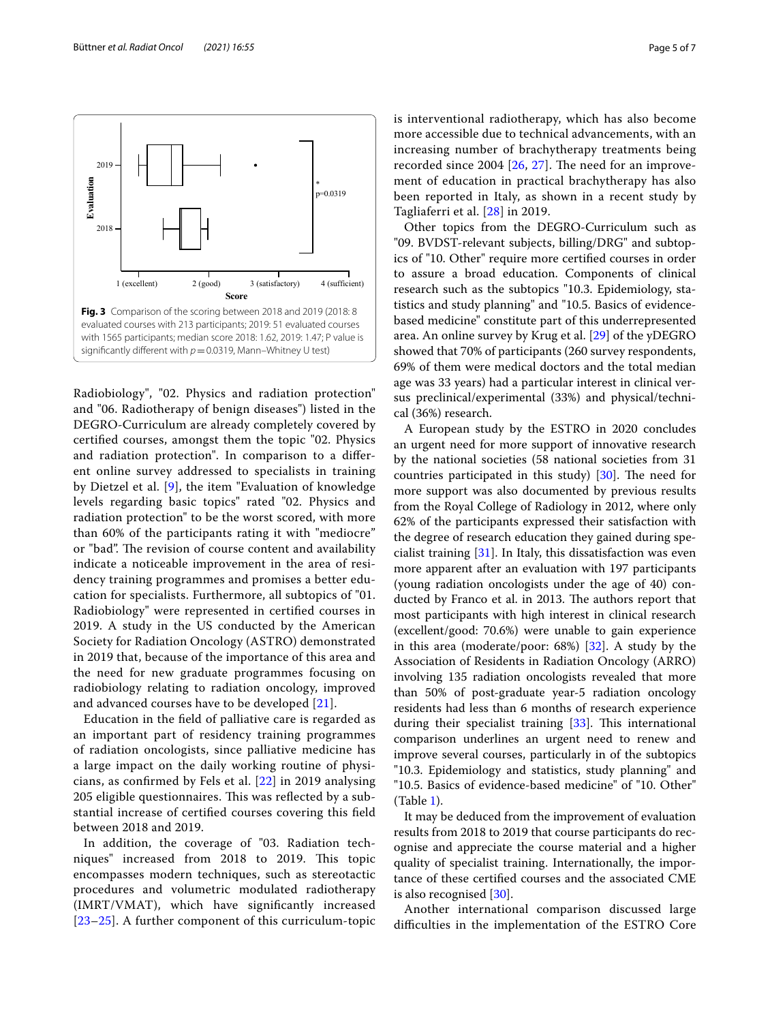<span id="page-4-0"></span>Radiobiology", "02. Physics and radiation protection" and "06. Radiotherapy of benign diseases") listed in the DEGRO-Curriculum are already completely covered by certifed courses, amongst them the topic "02. Physics and radiation protection". In comparison to a diferent online survey addressed to specialists in training by Dietzel et al. [[9](#page-6-4)], the item "Evaluation of knowledge levels regarding basic topics" rated "02. Physics and radiation protection" to be the worst scored, with more than 60% of the participants rating it with "mediocre" or "bad". The revision of course content and availability indicate a noticeable improvement in the area of residency training programmes and promises a better education for specialists. Furthermore, all subtopics of "01. Radiobiology" were represented in certifed courses in 2019. A study in the US conducted by the American Society for Radiation Oncology (ASTRO) demonstrated

in 2019 that, because of the importance of this area and the need for new graduate programmes focusing on radiobiology relating to radiation oncology, improved and advanced courses have to be developed [[21](#page-6-14)]. Education in the feld of palliative care is regarded as

an important part of residency training programmes of radiation oncologists, since palliative medicine has a large impact on the daily working routine of physicians, as confrmed by Fels et al. [[22\]](#page-6-15) in 2019 analysing 205 eligible questionnaires. This was reflected by a substantial increase of certifed courses covering this feld between 2018 and 2019.

In addition, the coverage of "03. Radiation techniques" increased from 2018 to 2019. This topic encompasses modern techniques, such as stereotactic procedures and volumetric modulated radiotherapy (IMRT/VMAT), which have signifcantly increased [[23](#page-6-16)[–25](#page-6-17)]. A further component of this curriculum-topic is interventional radiotherapy, which has also become more accessible due to technical advancements, with an increasing number of brachytherapy treatments being recorded since  $2004$  [ $26$ ,  $27$ ]. The need for an improvement of education in practical brachytherapy has also been reported in Italy, as shown in a recent study by Tagliaferri et al. [[28\]](#page-6-20) in 2019.

Other topics from the DEGRO-Curriculum such as "09. BVDST-relevant subjects, billing/DRG" and subtopics of "10. Other" require more certifed courses in order to assure a broad education. Components of clinical research such as the subtopics "10.3. Epidemiology, statistics and study planning" and "10.5. Basics of evidencebased medicine" constitute part of this underrepresented area. An online survey by Krug et al. [[29\]](#page-6-21) of the yDEGRO showed that 70% of participants (260 survey respondents, 69% of them were medical doctors and the total median age was 33 years) had a particular interest in clinical versus preclinical/experimental (33%) and physical/technical (36%) research.

A European study by the ESTRO in 2020 concludes an urgent need for more support of innovative research by the national societies (58 national societies from 31 countries participated in this study)  $[30]$ . The need for more support was also documented by previous results from the Royal College of Radiology in 2012, where only 62% of the participants expressed their satisfaction with the degree of research education they gained during specialist training  $[31]$  $[31]$ . In Italy, this dissatisfaction was even more apparent after an evaluation with 197 participants (young radiation oncologists under the age of 40) conducted by Franco et al. in 2013. The authors report that most participants with high interest in clinical research (excellent/good: 70.6%) were unable to gain experience in this area (moderate/poor: 68%) [[32\]](#page-6-24). A study by the Association of Residents in Radiation Oncology (ARRO) involving 135 radiation oncologists revealed that more than 50% of post-graduate year-5 radiation oncology residents had less than 6 months of research experience during their specialist training  $[33]$  $[33]$  $[33]$ . This international comparison underlines an urgent need to renew and improve several courses, particularly in of the subtopics "10.3. Epidemiology and statistics, study planning" and "10.5. Basics of evidence-based medicine" of "10. Other" (Table [1\)](#page-3-1).

It may be deduced from the improvement of evaluation results from 2018 to 2019 that course participants do recognise and appreciate the course material and a higher quality of specialist training. Internationally, the importance of these certifed courses and the associated CME is also recognised [[30\]](#page-6-22).

Another international comparison discussed large difculties in the implementation of the ESTRO Core

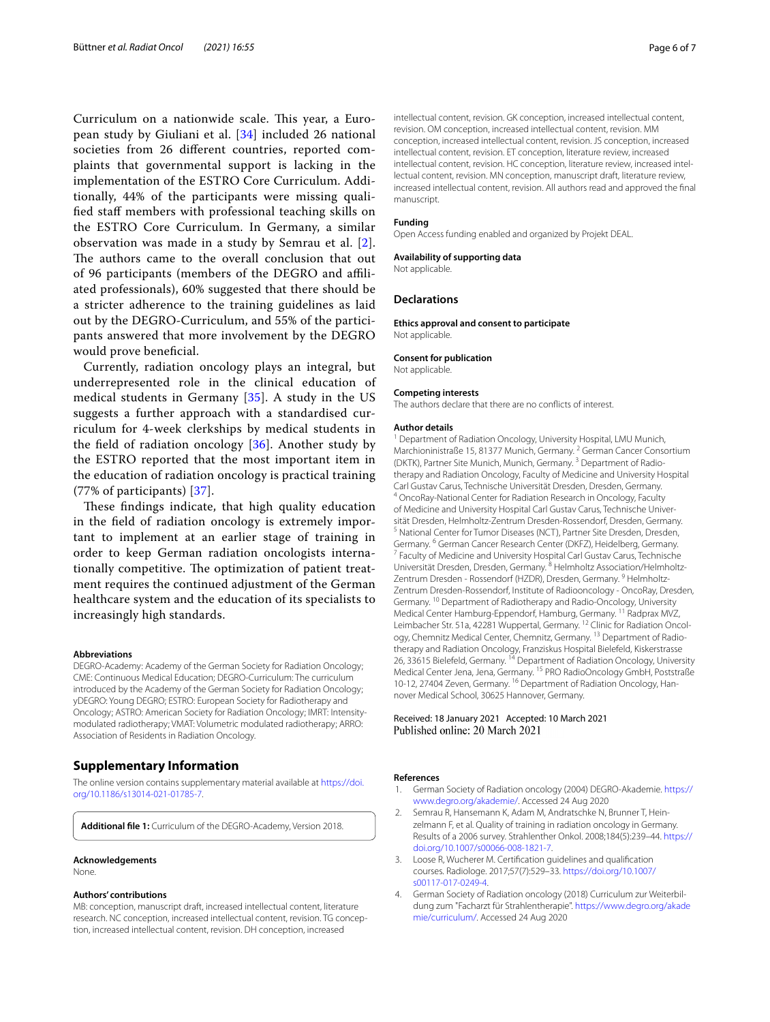Curriculum on a nationwide scale. This year, a European study by Giuliani et al. [[34\]](#page-6-26) included 26 national societies from 26 diferent countries, reported complaints that governmental support is lacking in the implementation of the ESTRO Core Curriculum. Additionally, 44% of the participants were missing qualifed staf members with professional teaching skills on the ESTRO Core Curriculum. In Germany, a similar observation was made in a study by Semrau et al. [[2\]](#page-5-1). The authors came to the overall conclusion that out of 96 participants (members of the DEGRO and afliated professionals), 60% suggested that there should be a stricter adherence to the training guidelines as laid out by the DEGRO-Curriculum, and 55% of the participants answered that more involvement by the DEGRO would prove benefcial.

Currently, radiation oncology plays an integral, but underrepresented role in the clinical education of medical students in Germany [[35\]](#page-6-27). A study in the US suggests a further approach with a standardised curriculum for 4-week clerkships by medical students in the field of radiation oncology  $[36]$  $[36]$ . Another study by the ESTRO reported that the most important item in the education of radiation oncology is practical training (77% of participants) [[37](#page-6-29)].

These findings indicate, that high quality education in the feld of radiation oncology is extremely important to implement at an earlier stage of training in order to keep German radiation oncologists internationally competitive. The optimization of patient treatment requires the continued adjustment of the German healthcare system and the education of its specialists to increasingly high standards.

#### **Abbreviations**

DEGRO-Academy: Academy of the German Society for Radiation Oncology; CME: Continuous Medical Education; DEGRO-Curriculum: The curriculum introduced by the Academy of the German Society for Radiation Oncology; yDEGRO: Young DEGRO; ESTRO: European Society for Radiotherapy and Oncology; ASTRO: American Society for Radiation Oncology; IMRT: Intensitymodulated radiotherapy; VMAT: Volumetric modulated radiotherapy; ARRO: Association of Residents in Radiation Oncology.

## **Supplementary Information**

The online version contains supplementary material available at [https://doi.](https://doi.org/10.1186/s13014-021-01785-7) [org/10.1186/s13014-021-01785-7](https://doi.org/10.1186/s13014-021-01785-7).

<span id="page-5-4"></span>**Additional fle 1:** Curriculum of the DEGRO-Academy, Version 2018.

#### **Acknowledgements**

None.

#### **Authors' contributions**

MB: conception, manuscript draft, increased intellectual content, literature research. NC conception, increased intellectual content, revision. TG conception, increased intellectual content, revision. DH conception, increased

intellectual content, revision. GK conception, increased intellectual content, revision. OM conception, increased intellectual content, revision. MM conception, increased intellectual content, revision. JS conception, increased intellectual content, revision. ET conception, literature review, increased intellectual content, revision. HC conception, literature review, increased intellectual content, revision. MN conception, manuscript draft, literature review, increased intellectual content, revision. All authors read and approved the fnal manuscript.

#### **Funding**

Open Access funding enabled and organized by Projekt DEAL.

#### **Availability of supporting data**

Not applicable.

#### **Declarations**

**Ethics approval and consent to participate** Not applicable.

#### **Consent for publication**

Not applicable.

#### **Competing interests**

The authors declare that there are no conficts of interest.

#### **Author details**

<sup>1</sup> Department of Radiation Oncology, University Hospital, LMU Munich, Marchioninistraße 15, 81377 Munich, Germany.<sup>2</sup> German Cancer Consortium (DKTK), Partner Site Munich, Munich, Germany.<sup>3</sup> Department of Radiotherapy and Radiation Oncology, Faculty of Medicine and University Hospital Carl Gustav Carus, Technische Universität Dresden, Dresden, Germany. <sup>4</sup> OncoRay-National Center for Radiation Research in Oncology, Faculty of Medicine and University Hospital Carl Gustav Carus, Technische Universität Dresden, Helmholtz-Zentrum Dresden-Rossendorf, Dresden, Germany. <sup>5</sup> National Center for Tumor Diseases (NCT), Partner Site Dresden, Dresden, Germany. <sup>6</sup> German Cancer Research Center (DKFZ), Heidelberg, Germany.<br><sup>7</sup> Faculty of Medicine and University Hospital Carl Gustav Carus, Technische Universität Dresden, Dresden, Germany. <sup>8</sup> Helmholtz Association/Helmholtz-Zentrum Dresden - Rossendorf (HZDR), Dresden, Germany. <sup>9</sup> Helmholtz-Zentrum Dresden-Rossendorf, Institute of Radiooncology - OncoRay, Dresden, Germany. 10 Department of Radiotherapy and Radio-Oncology, University Medical Center Hamburg-Eppendorf, Hamburg, Germany. 11 Radprax MVZ, Leimbacher Str. 51a, 42281 Wuppertal, Germany. 12 Clinic for Radiation Oncology, Chemnitz Medical Center, Chemnitz, Germany. 13 Department of Radiotherapy and Radiation Oncology, Franziskus Hospital Bielefeld, Kiskerstrasse 26, 33615 Bielefeld, Germany. <sup>14</sup> Department of Radiation Oncology, University Medical Center Jena, Jena, Germany. 15 PRO RadioOncology GmbH, Poststraße 10-12, 27404 Zeven, Germany. 16 Department of Radiation Oncology, Hannover Medical School, 30625 Hannover, Germany.

## Received: 18 January 2021 Accepted: 10 March 2021 Published online: 20 March 2021

#### **References**

- <span id="page-5-0"></span>1. German Society of Radiation oncology (2004) DEGRO-Akademie. [https://](https://www.degro.org/akademie/) [www.degro.org/akademie/.](https://www.degro.org/akademie/) Accessed 24 Aug 2020
- <span id="page-5-1"></span>2. Semrau R, Hansemann K, Adam M, Andratschke N, Brunner T, Heinzelmann F, et al. Quality of training in radiation oncology in Germany. Results of a 2006 survey. Strahlenther Onkol. 2008;184(5):239–44. [https://](https://doi.org/10.1007/s00066-008-1821-7) [doi.org/10.1007/s00066-008-1821-7](https://doi.org/10.1007/s00066-008-1821-7).
- <span id="page-5-2"></span>3. Loose R, Wucherer M. Certifcation guidelines and qualifcation courses. Radiologe. 2017;57(7):529–33. [https://doi.org/10.1007/](https://doi.org/10.1007/s00117-017-0249-4) [s00117-017-0249-4.](https://doi.org/10.1007/s00117-017-0249-4)
- <span id="page-5-3"></span>4. German Society of Radiation oncology (2018) Curriculum zur Weiterbildung zum "Facharzt für Strahlentherapie". [https://www.degro.org/akade](https://www.degro.org/akademie/curriculum/) [mie/curriculum/.](https://www.degro.org/akademie/curriculum/) Accessed 24 Aug 2020